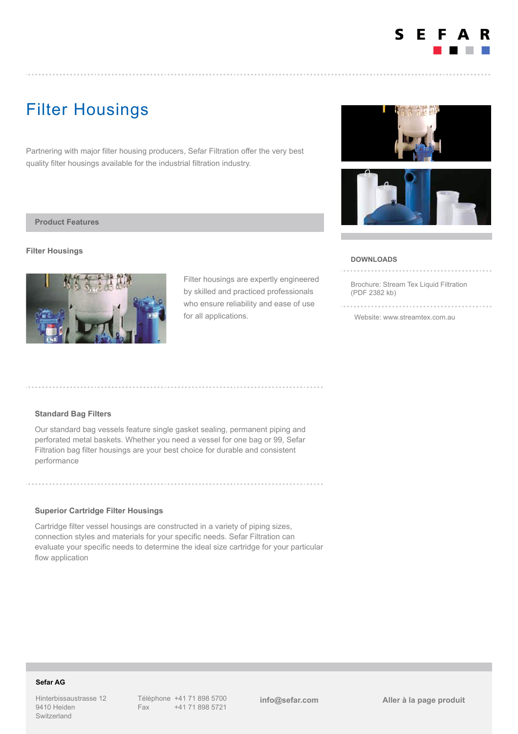

# Filter Housings

Partnering with major filter housing producers, Sefar Filtration offer the very best quality filter housings available for the industrial filtration industry.

### **Product Features**

#### **Filter Housings**



Filter housings are expertly engineered by skilled and practiced professionals who ensure reliability and ease of use for all applications.





#### **DOWNLOADS**

[Brochure: Stream Tex Liquid Filtration](https://www.sefar.com/data/docs/fr/14036/FS-PDF-AUS-Stream-Tex-Liquid-Filtration-EN.pdf?v=1.0) (PDF 2382 kb)

[Website: www.streamtex.com.au](http://www.streamtex.com.au)

# **Standard Bag Filters**

Our standard bag vessels feature single gasket sealing, permanent piping and perforated metal baskets. Whether you need a vessel for one bag or 99, Sefar Filtration bag filter housings are your best choice for durable and consistent performance

## **Superior Cartridge Filter Housings**

Cartridge filter vessel housings are constructed in a variety of piping sizes, connection styles and materials for your specific needs. Sefar Filtration can evaluate your specific needs to determine the ideal size cartridge for your particular flow application

# **Sefar AG**

Hinterbissaustrasse 12 9410 Heiden Switzerland

Téléphone +41 71 898 5700 Fax +41 71 898 5721

**[info@sefar.com](mailto:info@sefar.com) [Aller à la page prod](https://www.sefar.com/fr/609/Filtration%20Industrielle/Environnement/Product.htm?Folder=5350448)uit**